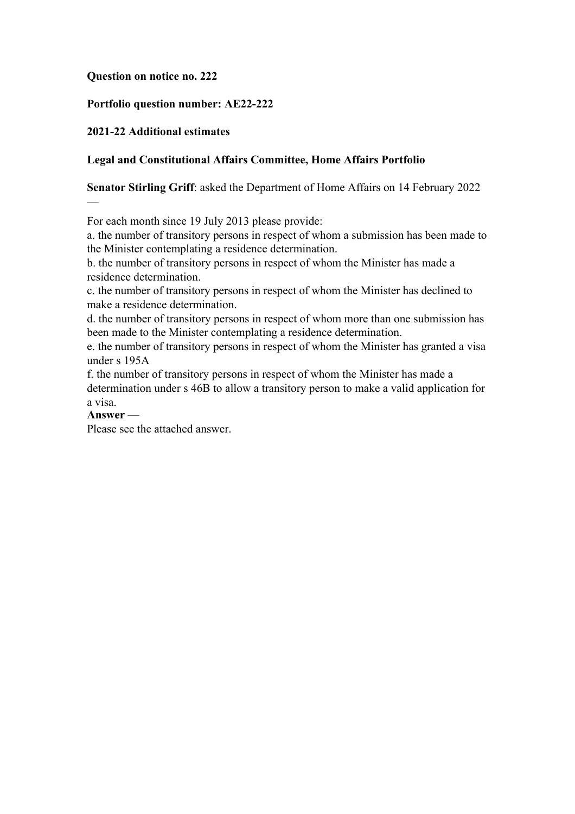### **Question on notice no. 222**

### **Portfolio question number: AE22-222**

### **2021-22 Additional estimates**

### **Legal and Constitutional Affairs Committee, Home Affairs Portfolio**

#### **Senator Stirling Griff**: asked the Department of Home Affairs on 14 February 2022

For each month since 19 July 2013 please provide:

a. the number of transitory persons in respect of whom a submission has been made to the Minister contemplating a residence determination.

b. the number of transitory persons in respect of whom the Minister has made a residence determination.

c. the number of transitory persons in respect of whom the Minister has declined to make a residence determination.

d. the number of transitory persons in respect of whom more than one submission has been made to the Minister contemplating a residence determination.

e. the number of transitory persons in respect of whom the Minister has granted a visa under s 195A

f. the number of transitory persons in respect of whom the Minister has made a determination under s 46B to allow a transitory person to make a valid application for a visa.

#### **Answer —**

—

Please see the attached answer.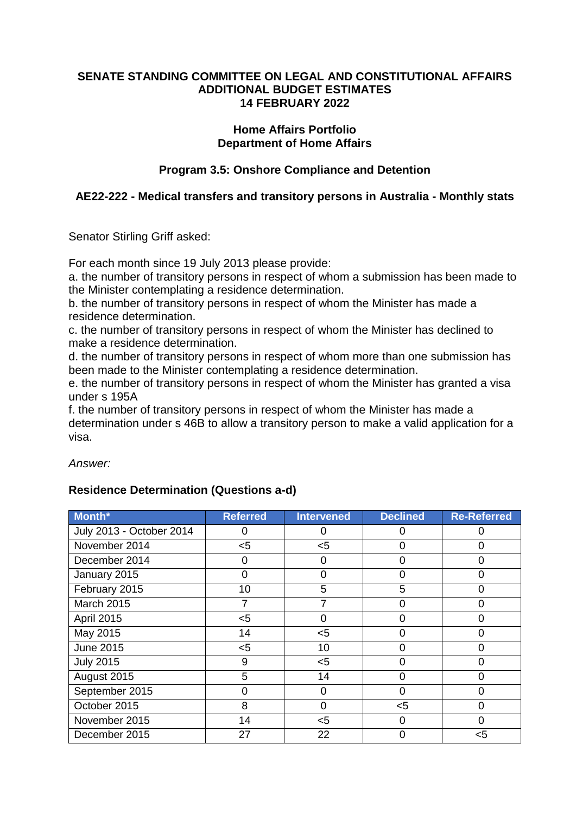#### **SENATE STANDING COMMITTEE ON LEGAL AND CONSTITUTIONAL AFFAIRS ADDITIONAL BUDGET ESTIMATES 14 FEBRUARY 2022**

### **Home Affairs Portfolio Department of Home Affairs**

# **Program 3.5: Onshore Compliance and Detention**

### **AE22-222 - Medical transfers and transitory persons in Australia - Monthly stats**

Senator Stirling Griff asked:

For each month since 19 July 2013 please provide:

a. the number of transitory persons in respect of whom a submission has been made to the Minister contemplating a residence determination.

b. the number of transitory persons in respect of whom the Minister has made a residence determination.

c. the number of transitory persons in respect of whom the Minister has declined to make a residence determination.

d. the number of transitory persons in respect of whom more than one submission has been made to the Minister contemplating a residence determination.

e. the number of transitory persons in respect of whom the Minister has granted a visa under s 195A

f. the number of transitory persons in respect of whom the Minister has made a determination under s 46B to allow a transitory person to make a valid application for a visa.

*Answer:*

# **Residence Determination (Questions a-d)**

| Month*                   | <b>Referred</b> | <b>Intervened</b> | <b>Declined</b> | <b>Re-Referred</b> |
|--------------------------|-----------------|-------------------|-----------------|--------------------|
| July 2013 - October 2014 |                 | O                 |                 |                    |
| November 2014            | $<$ 5           | $<$ 5             |                 | 0                  |
| December 2014            | 0               | 0                 | 0               | 0                  |
| January 2015             | O               | 0                 | O               | 0                  |
| February 2015            | 10              | 5                 | 5               | 0                  |
| <b>March 2015</b>        |                 |                   | 0               | 0                  |
| <b>April 2015</b>        | $<$ 5           | 0                 | O               | 0                  |
| May 2015                 | 14              | $<$ 5             | Ω               | 0                  |
| <b>June 2015</b>         | $<$ 5           | 10                | 0               | $\Omega$           |
| <b>July 2015</b>         | 9               | $<$ 5             |                 | ი                  |
| August 2015              | 5               | 14                | Ω               | 0                  |
| September 2015           | 0               | 0                 | 0               | 0                  |
| October 2015             | 8               | 0                 | $<$ 5           | 0                  |
| November 2015            | 14              | $<$ 5             | 0               | 0                  |
| December 2015            | 27              | 22                | 0               | $<$ 5              |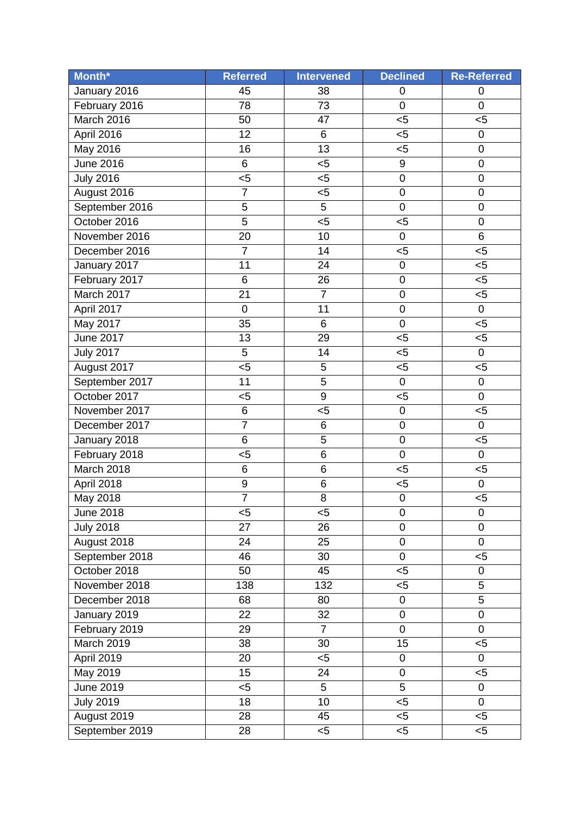| Month*           | <b>Referred</b>  | <b>Intervened</b> | <b>Declined</b>     | <b>Re-Referred</b> |
|------------------|------------------|-------------------|---------------------|--------------------|
| January 2016     | 45               | 38                | 0                   | 0                  |
| February 2016    | 78               | 73                | $\mathbf 0$         | 0                  |
| March 2016       | 50               | 47                | 5                   | $5$                |
| April 2016       | 12               | 6                 | $5$                 | 0                  |
| May 2016         | 16               | 13                | $5$                 | $\mathsf 0$        |
| <b>June 2016</b> | 6                | $5$               | 9                   | 0                  |
| <b>July 2016</b> | $5$              | $5$               | $\mathbf 0$         | $\mathsf 0$        |
| August 2016      | $\overline{7}$   | $5$               | 0                   | 0                  |
| September 2016   | $\overline{5}$   | 5                 | $\mathbf 0$         | $\mathbf 0$        |
| October 2016     | $\overline{5}$   | $5$               | $5$                 | 0                  |
| November 2016    | 20               | 10                | $\mathsf 0$         | 6                  |
| December 2016    | $\overline{7}$   | 14                | $5$                 | $5$                |
| January 2017     | 11               | 24                | 0                   | $5$                |
| February 2017    | 6                | 26                | $\mathsf{O}\xspace$ | $5$                |
| March 2017       | 21               | $\overline{7}$    | $\mathbf 0$         | $5$                |
| April 2017       | $\pmb{0}$        | 11                | $\mathsf{O}\xspace$ | $\pmb{0}$          |
| May 2017         | $\overline{35}$  | 6                 | $\mathsf 0$         | $5$                |
| June 2017        | 13               | 29                | $5$                 | $5$                |
| <b>July 2017</b> | 5                | 14                | $5$                 | $\mathsf 0$        |
| August 2017      | $5$              | 5                 | $5$                 | $5$                |
| September 2017   | 11               | 5                 | $\mathbf 0$         | $\pmb{0}$          |
| October 2017     | $5$              | 9                 | $5$                 | $\pmb{0}$          |
| November 2017    | 6                | $5$               | $\mathbf 0$         | $5$                |
| December 2017    | $\overline{7}$   | 6                 | $\mathsf{O}\xspace$ | $\pmb{0}$          |
| January 2018     | 6                | 5                 | $\mathsf{O}\xspace$ | $5$                |
| February 2018    | $5$              | 6                 | $\pmb{0}$           | $\mathbf 0$        |
| March 2018       | 6                | 6                 | $5$                 | $5$                |
| April 2018       | $\boldsymbol{9}$ | 6                 | $5$                 | $\pmb{0}$          |
| May 2018         | $\overline{7}$   | 8                 | $\mathsf 0$         | 5                  |
| <b>June 2018</b> | $5$              | < 5               | $\mathsf 0$         | 0                  |
| <b>July 2018</b> | $\overline{27}$  | 26                | $\mathsf 0$         | $\mathsf 0$        |
| August 2018      | 24               | 25                | $\pmb{0}$           | $\overline{0}$     |
| September 2018   | 46               | 30                | $\boldsymbol{0}$    | $5$                |
| October 2018     | 50               | 45                | $5$                 | 0                  |
| November 2018    | 138              | 132               | $<$ 5               | 5                  |
| December 2018    | 68               | 80                | 0                   | 5                  |
| January 2019     | 22               | 32                | 0                   | 0                  |
| February 2019    | 29               | $\overline{7}$    | 0                   | $\mathbf 0$        |
| March 2019       | 38               | 30                | 15                  | $5$                |
| April 2019       | 20               | $<$ 5             | 0                   | 0                  |
| May 2019         | 15               | 24                | 0                   | $5$                |
| <b>June 2019</b> | $<$ 5            | 5                 | $\overline{5}$      | 0                  |
| <b>July 2019</b> | 18               | 10                | $5$                 | 0                  |
| August 2019      | 28               | 45                | $<$ 5               | $5$                |
| September 2019   | 28               | $<$ 5             | $<$ 5               | $<$ 5              |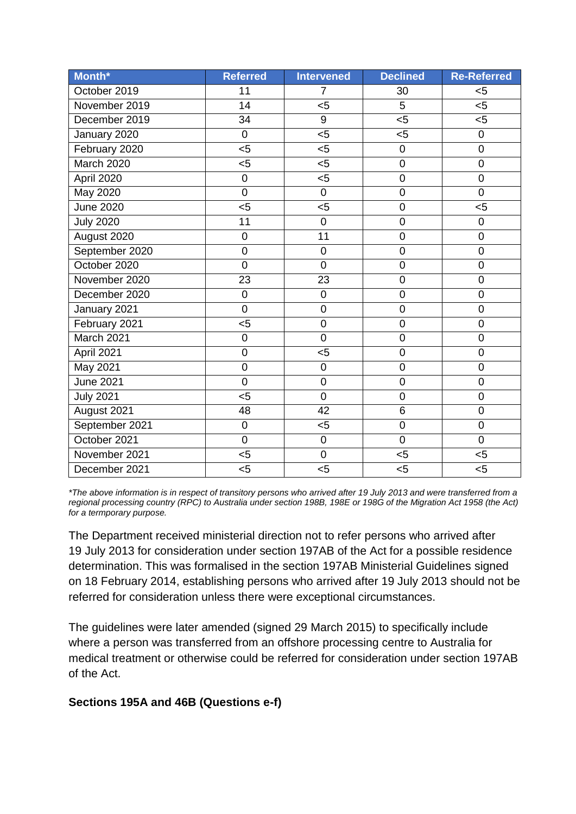| Month*           | <b>Referred</b> | <b>Intervened</b> | <b>Declined</b> | <b>Re-Referred</b> |
|------------------|-----------------|-------------------|-----------------|--------------------|
| October 2019     | 11              | $\overline{7}$    | 30              | $5$                |
| November 2019    | 14              | 5                 | $\overline{5}$  | 5<                 |
| December 2019    | 34              | 9                 | $5$             | $5$                |
| January 2020     | $\mathsf 0$     | $5$               | $5$             | 0                  |
| February 2020    | $5$             | $5$               | 0               | $\mathsf 0$        |
| March 2020       | $5$             | $5$               | $\overline{0}$  | $\overline{0}$     |
| April 2020       | $\mathbf 0$     | $5$               | 0               | $\mathsf 0$        |
| May 2020         | $\overline{0}$  | $\overline{0}$    | $\overline{0}$  | $\overline{0}$     |
| <b>June 2020</b> | $5$             | $5$               | $\overline{0}$  | $5$                |
| <b>July 2020</b> | 11              | 0                 | $\mathbf 0$     | 0                  |
| August 2020      | $\overline{0}$  | 11                | $\overline{0}$  | $\overline{0}$     |
| September 2020   | $\mathsf 0$     | $\pmb{0}$         | $\mathbf 0$     | $\overline{0}$     |
| October 2020     | $\overline{0}$  | $\mathsf 0$       | $\mathbf 0$     | $\mathsf 0$        |
| November 2020    | 23              | 23                | $\overline{0}$  | $\mathsf 0$        |
| December 2020    | $\mathsf 0$     | $\pmb{0}$         | $\mathbf 0$     | $\mathbf 0$        |
| January 2021     | $\overline{0}$  | $\mathsf 0$       | $\overline{0}$  | $\mathsf 0$        |
| February 2021    | 5               | $\overline{0}$    | $\overline{0}$  | $\overline{0}$     |
| March 2021       | $\mathbf 0$     | $\overline{0}$    | $\overline{0}$  | $\mathbf 0$        |
| April 2021       | $\mathbf 0$     | $5$               | $\overline{0}$  | $\mathbf 0$        |
| May 2021         | $\overline{0}$  | 0                 | $\overline{0}$  | $\mathbf 0$        |
| <b>June 2021</b> | $\overline{0}$  | $\mathbf 0$       | $\mathbf 0$     | $\mathbf 0$        |
| <b>July 2021</b> | $5$             | $\overline{0}$    | $\overline{0}$  | $\mathbf 0$        |
| August 2021      | 48              | 42                | 6               | 0                  |
| September 2021   | $\pmb{0}$       | $5$               | $\mathbf 0$     | $\mathbf 0$        |
| October 2021     | $\mathbf 0$     | $\pmb{0}$         | $\mathbf 0$     | $\mathbf 0$        |
| November 2021    | $5$             | $\mathbf 0$       | $5$             | $5$                |
| December 2021    | $5$             | $5$               | $5$             | $5$                |

*\*The above information is in respect of transitory persons who arrived after 19 July 2013 and were transferred from a regional processing country (RPC) to Australia under section 198B, 198E or 198G of the Migration Act 1958 (the Act) for a termporary purpose.*

The Department received ministerial direction not to refer persons who arrived after 19 July 2013 for consideration under section 197AB of the Act for a possible residence determination. This was formalised in the section 197AB Ministerial Guidelines signed on 18 February 2014, establishing persons who arrived after 19 July 2013 should not be referred for consideration unless there were exceptional circumstances.

The guidelines were later amended (signed 29 March 2015) to specifically include where a person was transferred from an offshore processing centre to Australia for medical treatment or otherwise could be referred for consideration under section 197AB of the Act.

# **Sections 195A and 46B (Questions e-f)**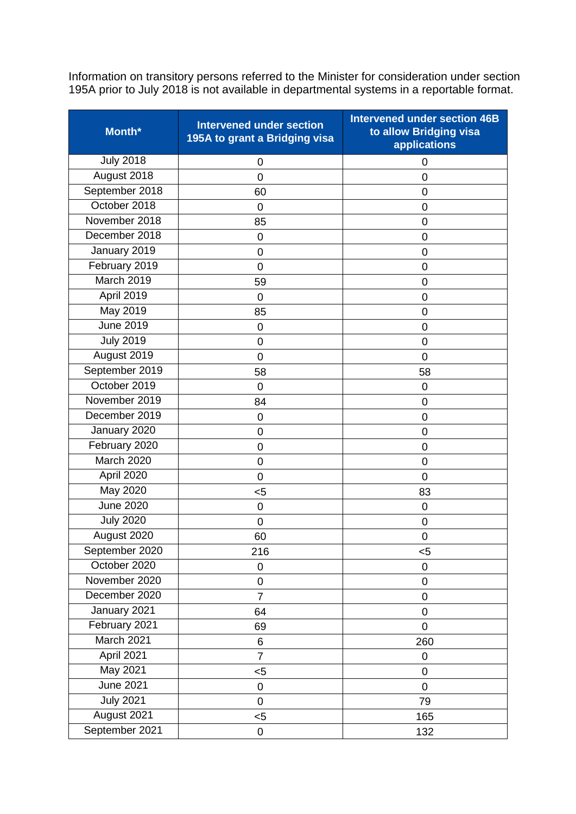Information on transitory persons referred to the Minister for consideration under section 195A prior to July 2018 is not available in departmental systems in a reportable format.

| Month*           | <b>Intervened under section</b><br>195A to grant a Bridging visa | <b>Intervened under section 46B</b><br>to allow Bridging visa<br>applications |
|------------------|------------------------------------------------------------------|-------------------------------------------------------------------------------|
| <b>July 2018</b> | 0                                                                | 0                                                                             |
| August 2018      | 0                                                                | 0                                                                             |
| September 2018   | 60                                                               | 0                                                                             |
| October 2018     | 0                                                                | 0                                                                             |
| November 2018    | 85                                                               | 0                                                                             |
| December 2018    | 0                                                                | 0                                                                             |
| January 2019     | $\mathbf 0$                                                      | 0                                                                             |
| February 2019    | 0                                                                | 0                                                                             |
| March 2019       | 59                                                               | 0                                                                             |
| April 2019       | 0                                                                | 0                                                                             |
| May 2019         | 85                                                               | 0                                                                             |
| <b>June 2019</b> | 0                                                                | 0                                                                             |
| <b>July 2019</b> | $\mathbf 0$                                                      | 0                                                                             |
| August 2019      | $\overline{0}$                                                   | 0                                                                             |
| September 2019   | 58                                                               | 58                                                                            |
| October 2019     | 0                                                                | $\mathbf 0$                                                                   |
| November 2019    | 84                                                               | 0                                                                             |
| December 2019    | 0                                                                | 0                                                                             |
| January 2020     | $\mathbf 0$                                                      | 0                                                                             |
| February 2020    | $\mathbf 0$                                                      | $\mathbf 0$                                                                   |
| March 2020       | $\mathbf 0$                                                      | $\overline{0}$                                                                |
| April 2020       | 0                                                                | $\overline{0}$                                                                |
| May 2020         | $5$                                                              | 83                                                                            |
| <b>June 2020</b> | 0                                                                | 0                                                                             |
| <b>July 2020</b> | $\mathbf 0$                                                      | 0                                                                             |
| August 2020      | 60                                                               | $\mathbf 0$                                                                   |
| September 2020   | 216                                                              | $5$                                                                           |
| October 2020     | 0                                                                | 0                                                                             |
| November 2020    | $\mathsf 0$                                                      | 0                                                                             |
| December 2020    | $\overline{7}$                                                   | 0                                                                             |
| January 2021     | 64                                                               | 0                                                                             |
| February 2021    | 69                                                               | 0                                                                             |
| March 2021       | 6                                                                | 260                                                                           |
| April 2021       | $\overline{7}$                                                   | 0                                                                             |
| May 2021         | $5$                                                              | $\pmb{0}$                                                                     |
| <b>June 2021</b> | 0                                                                | $\mathbf 0$                                                                   |
| <b>July 2021</b> | $\mathbf 0$                                                      | 79                                                                            |
| August 2021      | $5$                                                              | 165                                                                           |
| September 2021   | 0                                                                | 132                                                                           |